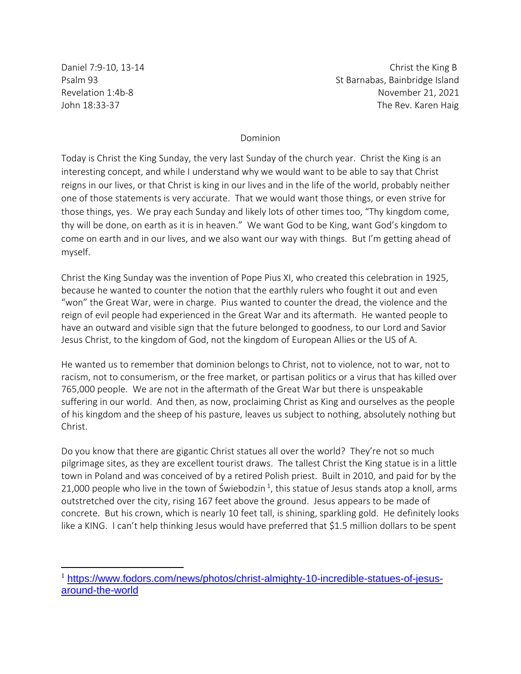Daniel 7:9-10, 13-14 Christ the King B Psalm 93 St Barnabas, Bainbridge Island Revelation 1:4b-8 November 21, 2021 John 18:33-37 The Rev. Karen Haig

## Dominion

Today is Christ the King Sunday, the very last Sunday of the church year. Christ the King is an interesting concept, and while I understand why we would want to be able to say that Christ reigns in our lives, or that Christ is king in our lives and in the life of the world, probably neither one of those statements is very accurate. That we would want those things, or even strive for those things, yes. We pray each Sunday and likely lots of other times too, "Thy kingdom come, thy will be done, on earth as it is in heaven." We want God to be King, want God's kingdom to come on earth and in our lives, and we also want our way with things. But I'm getting ahead of myself.

Christ the King Sunday was the invention of Pope Pius XI, who created this celebration in 1925, because he wanted to counter the notion that the earthly rulers who fought it out and even "won" the Great War, were in charge. Pius wanted to counter the dread, the violence and the reign of evil people had experienced in the Great War and its aftermath. He wanted people to have an outward and visible sign that the future belonged to goodness, to our Lord and Savior Jesus Christ, to the kingdom of God, not the kingdom of European Allies or the US of A.

He wanted us to remember that dominion belongs to Christ, not to violence, not to war, not to racism, not to consumerism, or the free market, or partisan politics or a virus that has killed over 765,000 people. We are not in the aftermath of the Great War but there is unspeakable suffering in our world. And then, as now, proclaiming Christ as King and ourselves as the people of his kingdom and the sheep of his pasture, leaves us subject to nothing, absolutely nothing but Christ.

Do you know that there are gigantic Christ statues all over the world? They're not so much pilgrimage sites, as they are excellent tourist draws. The tallest Christ the King statue is in a little town in Poland and was conceived of by a retired Polish priest. Built in 2010, and paid for by the 21,000 people who live in the town of Świebodzin<sup>1</sup>, this statue of Jesus stands atop a knoll, arms outstretched over the city, rising 167 feet above the ground. Jesus appears to be made of concrete. But his crown, which is nearly 10 feet tall, is shining, sparkling gold. He definitely looks like a KING. I can't help thinking Jesus would have preferred that \$1.5 million dollars to be spent

<sup>1</sup> [https://www.fodors.com/news/photos/christ-almighty-10-incredible-statues-of-jesus](https://www.fodors.com/news/photos/christ-almighty-10-incredible-statues-of-jesus-around-the-world)[around-the-world](https://www.fodors.com/news/photos/christ-almighty-10-incredible-statues-of-jesus-around-the-world)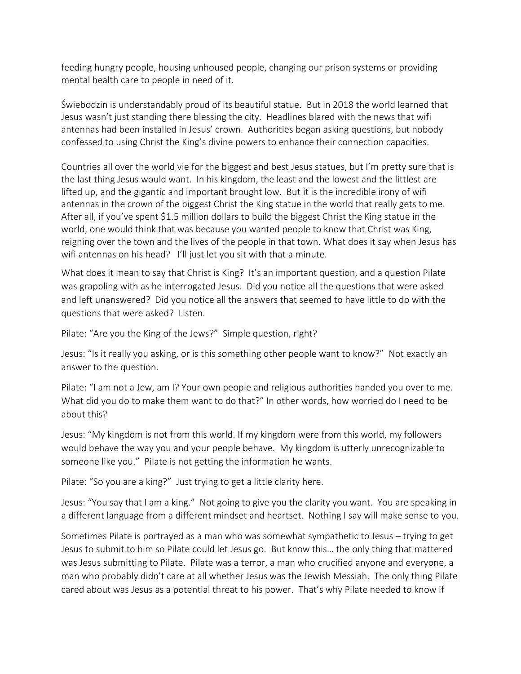feeding hungry people, housing unhoused people, changing our prison systems or providing mental health care to people in need of it.

Świebodzin is understandably proud of its beautiful statue. But in 2018 the world learned that Jesus wasn't just standing there blessing the city. Headlines blared with the news that wifi antennas had been installed in Jesus' crown. Authorities began asking questions, but nobody confessed to using Christ the King's divine powers to enhance their connection capacities.

Countries all over the world vie for the biggest and best Jesus statues, but I'm pretty sure that is the last thing Jesus would want. In his kingdom, the least and the lowest and the littlest are lifted up, and the gigantic and important brought low. But it is the incredible irony of wifi antennas in the crown of the biggest Christ the King statue in the world that really gets to me. After all, if you've spent \$1.5 million dollars to build the biggest Christ the King statue in the world, one would think that was because you wanted people to know that Christ was King, reigning over the town and the lives of the people in that town. What does it say when Jesus has wifi antennas on his head? I'll just let you sit with that a minute.

What does it mean to say that Christ is King? It's an important question, and a question Pilate was grappling with as he interrogated Jesus. Did you notice all the questions that were asked and left unanswered? Did you notice all the answers that seemed to have little to do with the questions that were asked? Listen.

Pilate: "Are you the King of the Jews?" Simple question, right?

Jesus: "Is it really you asking, or is this something other people want to know?" Not exactly an answer to the question.

Pilate: "I am not a Jew, am I? Your own people and religious authorities handed you over to me. What did you do to make them want to do that?" In other words, how worried do I need to be about this?

Jesus: "My kingdom is not from this world. If my kingdom were from this world, my followers would behave the way you and your people behave. My kingdom is utterly unrecognizable to someone like you." Pilate is not getting the information he wants.

Pilate: "So you are a king?" Just trying to get a little clarity here.

Jesus: "You say that I am a king." Not going to give you the clarity you want. You are speaking in a different language from a different mindset and heartset. Nothing I say will make sense to you.

Sometimes Pilate is portrayed as a man who was somewhat sympathetic to Jesus – trying to get Jesus to submit to him so Pilate could let Jesus go. But know this… the only thing that mattered was Jesus submitting to Pilate. Pilate was a terror, a man who crucified anyone and everyone, a man who probably didn't care at all whether Jesus was the Jewish Messiah. The only thing Pilate cared about was Jesus as a potential threat to his power. That's why Pilate needed to know if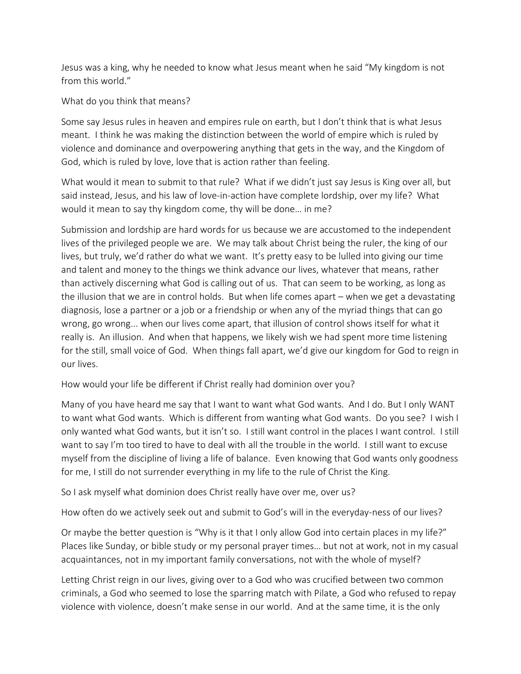Jesus was a king, why he needed to know what Jesus meant when he said "My kingdom is not from this world."

What do you think that means?

Some say Jesus rules in heaven and empires rule on earth, but I don't think that is what Jesus meant. I think he was making the distinction between the world of empire which is ruled by violence and dominance and overpowering anything that gets in the way, and the Kingdom of God, which is ruled by love, love that is action rather than feeling.

What would it mean to submit to that rule? What if we didn't just say Jesus is King over all, but said instead, Jesus, and his law of love-in-action have complete lordship, over my life? What would it mean to say thy kingdom come, thy will be done… in me?

Submission and lordship are hard words for us because we are accustomed to the independent lives of the privileged people we are. We may talk about Christ being the ruler, the king of our lives, but truly, we'd rather do what we want. It's pretty easy to be lulled into giving our time and talent and money to the things we think advance our lives, whatever that means, rather than actively discerning what God is calling out of us. That can seem to be working, as long as the illusion that we are in control holds. But when life comes apart – when we get a devastating diagnosis, lose a partner or a job or a friendship or when any of the myriad things that can go wrong, go wrong... when our lives come apart, that illusion of control shows itself for what it really is. An illusion. And when that happens, we likely wish we had spent more time listening for the still, small voice of God. When things fall apart, we'd give our kingdom for God to reign in our lives.

How would your life be different if Christ really had dominion over you?

Many of you have heard me say that I want to want what God wants. And I do. But I only WANT to want what God wants. Which is different from wanting what God wants. Do you see? I wish I only wanted what God wants, but it isn't so. I still want control in the places I want control. I still want to say I'm too tired to have to deal with all the trouble in the world. I still want to excuse myself from the discipline of living a life of balance. Even knowing that God wants only goodness for me, I still do not surrender everything in my life to the rule of Christ the King.

So I ask myself what dominion does Christ really have over me, over us?

How often do we actively seek out and submit to God's will in the everyday-ness of our lives?

Or maybe the better question is "Why is it that I only allow God into certain places in my life?" Places like Sunday, or bible study or my personal prayer times… but not at work, not in my casual acquaintances, not in my important family conversations, not with the whole of myself?

Letting Christ reign in our lives, giving over to a God who was crucified between two common criminals, a God who seemed to lose the sparring match with Pilate, a God who refused to repay violence with violence, doesn't make sense in our world. And at the same time, it is the only